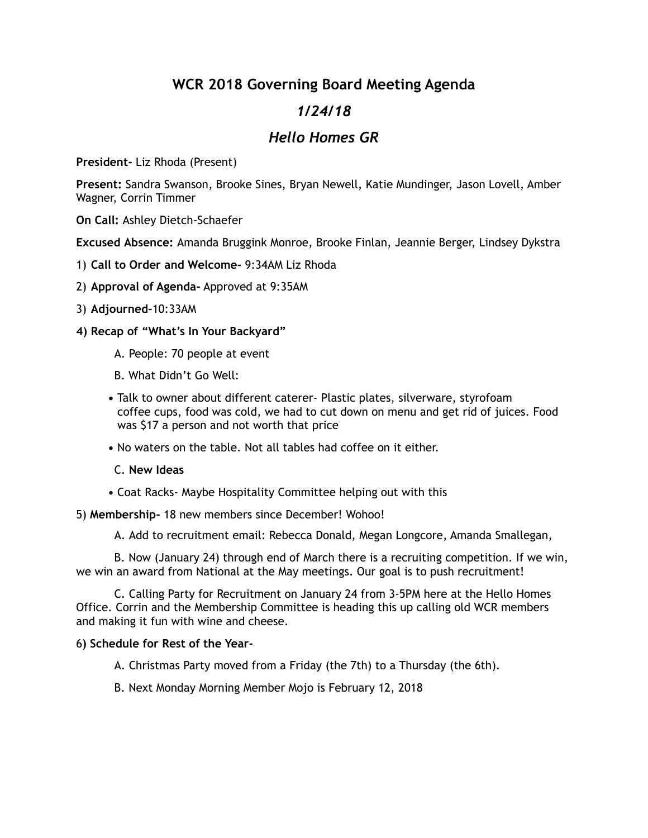## **WCR 2018 Governing Board Meeting Agenda**

# *1/24/18*

## *Hello Homes GR*

**President-** Liz Rhoda (Present)

**Present:** Sandra Swanson, Brooke Sines, Bryan Newell, Katie Mundinger, Jason Lovell, Amber Wagner, Corrin Timmer

**On Call:** Ashley Dietch-Schaefer

**Excused Absence:** Amanda Bruggink Monroe, Brooke Finlan, Jeannie Berger, Lindsey Dykstra

- 1) **Call to Order and Welcome-** 9:34AM Liz Rhoda
- 2) **Approval of Agenda-** Approved at 9:35AM
- 3) **Adjourned-**10:33AM
- **4) Recap of "What's In Your Backyard"** 
	- A. People: 70 people at event
	- B. What Didn't Go Well:
	- **•** Talk to owner about different caterer- Plastic plates, silverware, styrofoam coffee cups, food was cold, we had to cut down on menu and get rid of juices. Food was \$17 a person and not worth that price
	- **•** No waters on the table. Not all tables had coffee on it either.
	- C. **New Ideas**
	- **•** Coat Racks- Maybe Hospitality Committee helping out with this

5) **Membership-** 18 new members since December! Wohoo!

A. Add to recruitment email: Rebecca Donald, Megan Longcore, Amanda Smallegan,

 B. Now (January 24) through end of March there is a recruiting competition. If we win, we win an award from National at the May meetings. Our goal is to push recruitment!

 C. Calling Party for Recruitment on January 24 from 3-5PM here at the Hello Homes Office. Corrin and the Membership Committee is heading this up calling old WCR members and making it fun with wine and cheese.

### 6**) Schedule for Rest of the Year-**

A. Christmas Party moved from a Friday (the 7th) to a Thursday (the 6th).

B. Next Monday Morning Member Mojo is February 12, 2018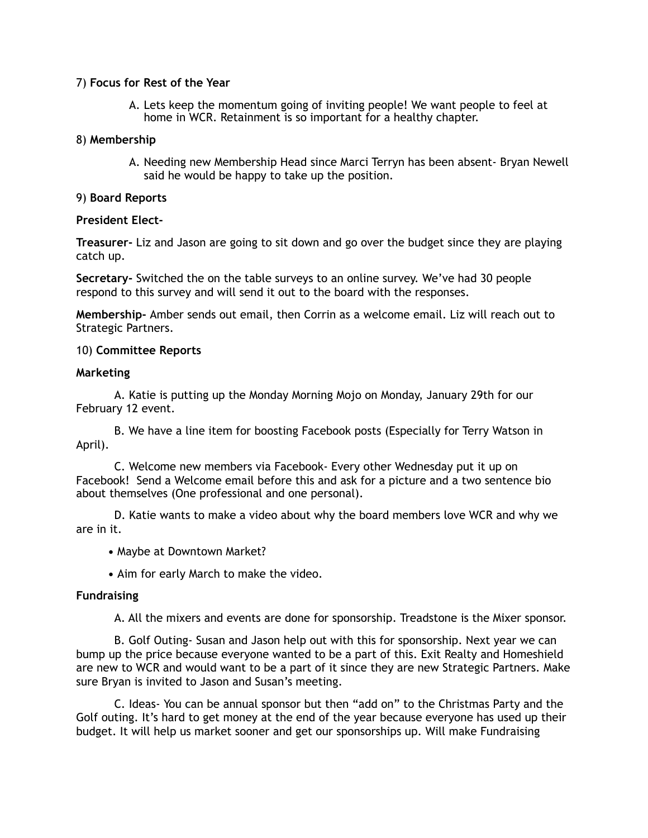#### 7) **Focus for Rest of the Year**

A. Lets keep the momentum going of inviting people! We want people to feel at home in WCR. Retainment is so important for a healthy chapter.

#### 8) **Membership**

A. Needing new Membership Head since Marci Terryn has been absent- Bryan Newell said he would be happy to take up the position.

#### 9) **Board Reports**

#### **President Elect-**

**Treasurer-** Liz and Jason are going to sit down and go over the budget since they are playing catch up.

**Secretary-** Switched the on the table surveys to an online survey. We've had 30 people respond to this survey and will send it out to the board with the responses.

**Membership-** Amber sends out email, then Corrin as a welcome email. Liz will reach out to Strategic Partners.

#### 10) **Committee Reports**

#### **Marketing**

A. Katie is putting up the Monday Morning Mojo on Monday, January 29th for our February 12 event.

 B. We have a line item for boosting Facebook posts (Especially for Terry Watson in April).

 C. Welcome new members via Facebook- Every other Wednesday put it up on Facebook! Send a Welcome email before this and ask for a picture and a two sentence bio about themselves (One professional and one personal).

 D. Katie wants to make a video about why the board members love WCR and why we are in it.

**•** Maybe at Downtown Market?

**•** Aim for early March to make the video.

#### **Fundraising**

A. All the mixers and events are done for sponsorship. Treadstone is the Mixer sponsor.

 B. Golf Outing- Susan and Jason help out with this for sponsorship. Next year we can bump up the price because everyone wanted to be a part of this. Exit Realty and Homeshield are new to WCR and would want to be a part of it since they are new Strategic Partners. Make sure Bryan is invited to Jason and Susan's meeting.

 C. Ideas- You can be annual sponsor but then "add on" to the Christmas Party and the Golf outing. It's hard to get money at the end of the year because everyone has used up their budget. It will help us market sooner and get our sponsorships up. Will make Fundraising